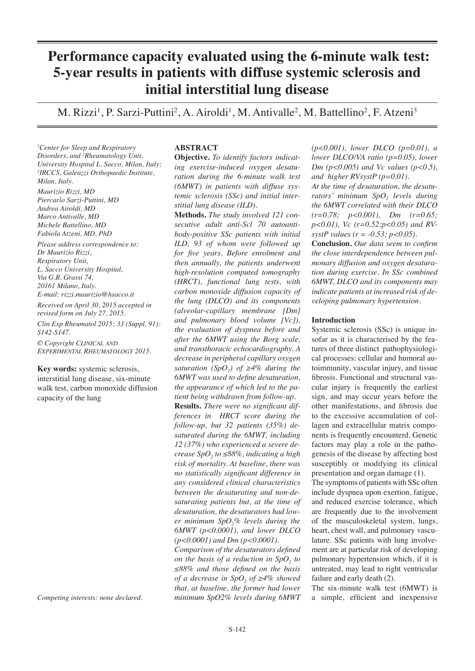# **Performance capacity evaluated using the 6-minute walk test: 5-year results in patients with diffuse systemic sclerosis and initial interstitial lung disease**

M. Rizzi<sup>1</sup>, P. Sarzi-Puttini<sup>2</sup>, A. Airoldi<sup>1</sup>, M. Antivalle<sup>2</sup>, M. Battellino<sup>2</sup>, F. Atzeni<sup>3</sup>

*1 Center for Sleep and Respiratory Disorders, and 2 Rheumatology Unit, University Hospital L. Sacco, Milan, Italy; 3 IRCCS, Galeazzi Orthopaedic Institute, Milan, Italy.*

*Maurizio Rizzi, MD Piercarlo Sarzi-Puttini, MD Andrea Airoldi, MD Marco Antivalle, MD Michele Battellino, MD Fabiola Atzeni, MD, PhD*

*Please address correspondence to: Dr Maurizio Rizzi, Respiratory Unit, L. Sacco University Hospital, Via G.B. Grassi 74, 20161 Milano, Italy. E-mail: rizzi.maurizio@hsacco.it Received on April 30, 2015 accepted in revised form on July 27, 2015.*

*Clin Exp Rheumatol 2015; 33 (Suppl. 91): S142-S147.*

*© Copyright Clinical and Experimental Rheumatology 2015.*

**Key words:** systemic sclerosis, interstitial lung disease, six-minute walk test, carbon monoxide diffusion capacity of the lung

*Competing interests: none declared.*

## **ABSTRACT**

**Objective.** *To identify factors indicating exercise-induced oxygen desaturation during the 6-minute walk test (6MWT) in patients with diffuse systemic sclerosis (SSc) and initial interstitial lung disease (ILD).* 

**Methods.** *The study involved 121 consecutive adult anti-Scl 70 autoantibody-positive SSc patients with initial ILD, 93 of whom were followed up for five years. Before enrolment and then annually, the patients underwent high-resolution computed tomography (HRCT), functional lung tests, with carbon monoxide diffusion capacity of the lung (DLCO) and its components (alveolar-capillary membrane [Dm] and pulmonary blood volume [Vc]), the evaluation of dyspnea before and after the 6MWT using the Borg scale, and transthoracic echocardiography. A decrease in peripheral capillary oxygen saturation (SpO<sub>2</sub>) of*  $\geq 4\%$  *during the 6MWT was used to define desaturation, the appearance of which led to the patient being withdrawn from follow-up.* **Results.** *There were no significant differences in HRCT score during the follow-up, but 32 patients (35%) desaturated during the 6MWT, including 12 (37%) who experienced a severe decrease SpO<sub>2</sub>* to ≤88%, indicating a high *risk of mortality. At baseline, there was no statistically significant difference in any considered clinical characteristics between the desaturating and non-desaturating patients but, at the time of desaturation, the desaturators had lower minimum SpO2% levels during the 6MWT (p<0.0001), and lower DLCO (p<0.0001) and Dm (p<0.0001).* 

*Comparison of the desaturators defined on the basis of a reduction in SpO<sub>2</sub> to ≤88% and those defined on the basis of a decrease in SpO, of* ≥4% showed *that, at baseline, the former had lower minimum SpO2% levels during 6MWT*  *(p<0.001), lower DLCO (p=0.01), a lower DLCO/VA ratio (p=0.05), lower Dm (p<0.005) and Vc values (p<0.5), and higher RVsystP (p=0.01).*

*At the time of desaturation, the desaturators' minimum SpO<sub>2</sub> levels during the 6MWT correlated with their DLCO (r=0.78; p<0.001), Dm (r=0.65; p<0.01), Vc (r=0.52;p<0.05) and RVsystP values (r = -0.53; p<0.05).*

**Conclusion.** *Our data seem to confirm the close interdependence between pulmonary diffusion and oxygen desaturation during exercise. In SSc combined 6MWT, DLCO and its components may indicate patients at increased risk of developing pulmonary hypertension.*

# **Introduction**

Systemic sclerosis (SSc) is unique insofar as it is characterised by the features of three distinct pathophysiological processes: cellular and humoral autoimmunity, vascular injury, and tissue fibrosis. Functional and structural vascular injury is frequently the earliest sign, and may occur years before the other manifestations, and fibrosis due to the excessive accumulation of collagen and extracellular matrix components is frequently encounterd. Genetic factors may play a role in the pathogenesis of the disease by affecting host susceptibly or modifying its clinical presentation and organ damage (1).

The symptoms of patients with SSc often include dyspnea upon exertion, fatigue, and reduced exercise tolerance, which are frequently due to the involvement of the musculoskeletal system, lungs, heart, chest wall, and pulmonary vasculature. SSc patients with lung involvement are at particular risk of developing pulmonary hypertension which, if it is untreated, may lead to right ventricular failure and early death (2).

The six-minute walk test (6MWT) is a simple, efficient and inexpensive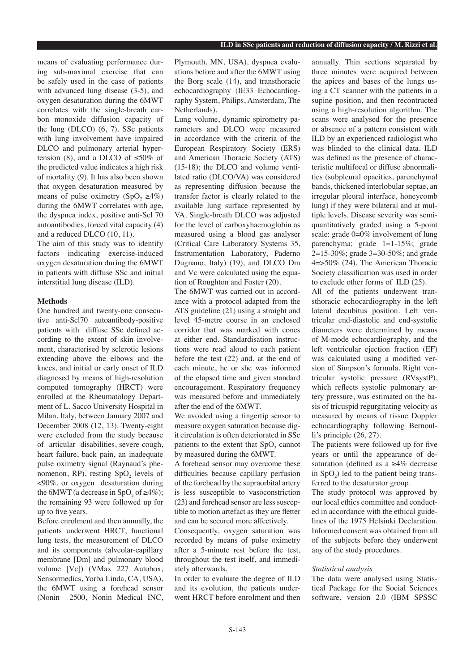means of evaluating performance during sub-maximal exercise that can be safely used in the case of patients with advanced lung disease (3-5), and oxygen desaturation during the 6MWT correlates with the single-breath carbon monoxide diffusion capacity of the lung (DLCO) (6, 7). SSc patients with lung involvement have impaired DLCO and pulmonary arterial hypertension (8), and a DLCO of  $\leq 50\%$  of the predicted value indicates a high risk of mortality (9). It has also been shown that oxygen desaturation measured by means of pulse oximetry (SpO<sub>2</sub>  $\geq 4\%$ ) during the 6MWT correlates with age, the dyspnea index, positive anti-Scl 70 autoantibodies, forced vital capacity (4) and a reduced DLCO (10, 11).

The aim of this study was to identify factors indicating exercise-induced oxygen desaturation during the 6MWT in patients with diffuse SSc and initial interstitial lung disease (ILD).

# **Methods**

One hundred and twenty-one consecutive anti-Scl70 autoantibody-positive patients with diffuse SSc defined according to the extent of skin involvement, characterised by sclerotic lesions extending above the elbows and the knees, and initial or early onset of ILD diagnosed by means of high-resolution computed tomography (HRCT) were enrolled at the Rheumatology Department of L. Sacco University Hospital in Milan, Italy, between January 2007 and December 2008 (12, 13). Twenty-eight were excluded from the study because of articular disabilities, severe cough, heart failure, back pain, an inadequate pulse oximetry signal (Raynaud's phenomenon, RP), resting SpO<sub>2</sub> levels of <90%, or oxygen desaturation during the 6MWT (a decrease in SpO, of  $\geq 4\%$ ); the remaining 93 were followed up for up to five years.

Before enrolment and then annually, the patients underwent HRCT, functional lung tests, the measurement of DLCO and its components (alveolar-capillary membrane [Dm] and pulmonary blood volume [Vc]) (VMax 227 Autobox, Sensormedics, Yorba Linda, CA, USA), the 6MWT using a forehead sensor (Nonin 2500, Nonin Medical INC, Plymouth, MN, USA), dyspnea evaluations before and after the 6MWT using the Borg scale (14), and transthoracic echocardiography (IE33 Echocardiography System, Philips, Amsterdam, The Netherlands).

Lung volume, dynamic spirometry parameters and DLCO were measured in accordance with the criteria of the European Respiratory Society (ERS) and American Thoracic Society (ATS) (15-18); the DLCO and volume ventilated ratio (DLCO/VA) was considered as representing diffusion because the transfer factor is clearly related to the available lung surface represented by VA. Single-breath DLCO was adjusted for the level of carboxyhaemoglobin as measured using a blood gas analyser (Critical Care Laboratory Systems 35, Instrumentation Laboratory, Paderno Dugnano, Italy) (19), and DLCO Dm and Vc were calculated using the equation of Roughton and Foster (20).

The 6MWT was carried out in accordance with a protocol adapted from the ATS guideline (21) using a straight and level 45-metre course in an enclosed corridor that was marked with cones at either end. Standardisation instructions were read aloud to each patient before the test (22) and, at the end of each minute, he or she was informed of the elapsed time and given standard encouragement. Respiratory frequency was measured before and immediately after the end of the 6MWT.

We avoided using a fingertip sensor to measure oxygen saturation because digit circulation is often deteriorated in SSc patients to the extent that  $SpO<sub>2</sub>$  cannot by measured during the 6MWT.

A forehead sensor may overcome these difficulties because capillary perfusion of the forehead by the supraorbital artery is less susceptible to vasoconstriction (23) and forehead sensor are less susceptible to motion artefact as they are fletter and can be secured more affectively.

Consequently, oxygen saturation was recorded by means of pulse oximetry after a 5-minute rest before the test, throughout the test itself, and immediately afterwards.

In order to evaluate the degree of ILD and its evolution, the patients underwent HRCT before enrolment and then

annually. Thin sections separated by three minutes were acquired between the apices and bases of the lungs using a CT scanner with the patients in a supine position, and then recontructed using a high-resolution algorithm. The scans were analysed for the presence or absence of a pattern consistent with ILD by an experienced radiologist who was blinded to the clinical data. ILD was defined as the presence of characteristic multifocal or diffuse abnormalities (subpleural opacities, parenchymal bands, thickened interlobular septae, an irregular pleural interface, honeycomb lung) if they were bilateral and at multiple levels. Disease severity was semiquantitatively graded using a 5-point scale: grade 0=0% involvement of lung parenchyma; grade 1=1-15%; grade 2=15-30%; grade 3=30-50%; and grade 4=>50% (24). The American Thoracic Society classification was used in order to exclude other forms of ILD (25).

All of the patients underwent transthoracic echocardiography in the left lateral decubitus position. Left ventricular end-diastolic and end-systolic diameters were determined by means of M-mode echocardiography, and the left ventricular ejection fraction (EF) was calculated using a modified version of Simpson's formula. Right ventricular systolic pressure (RVsystP), which reflects systolic pulmonary artery pressure, was estimated on the basis of tricuspid regurgitating velocity as measured by means of tissue Doppler echocardiography following Bernoulli's principle (26, 27).

The patients were followed up for five years or until the appearance of desaturation (defined as a  $\geq 4\%$  decrease in  $SpO<sub>2</sub>$ ) led to the patient being transferred to the desaturator group.

The study protocol was approved by our local ethics committee and conducted in accordance with the ethical guidelines of the 1975 Helsinki Declaration. Informed consent was obtained from all of the subjects before they underwent any of the study procedures.

#### *Statistical analysis*

The data were analysed using Statistical Package for the Social Sciences software, version 2.0 (IBM SPSSC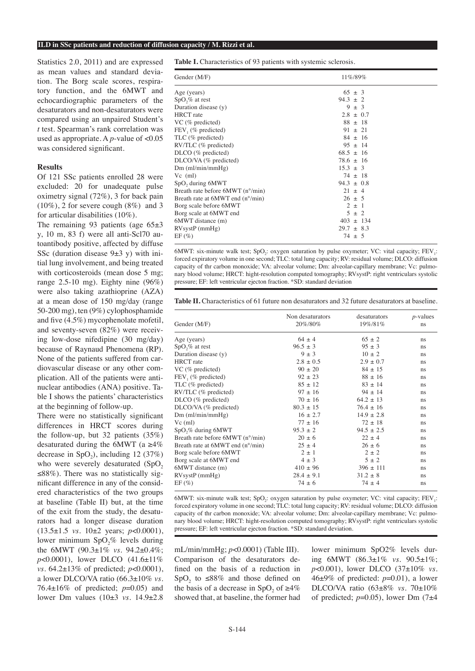#### **ILD in SSc patients and reduction of diffusion capacity / M. Rizzi et al.**

Statistics 2.0, 2011) and are expressed as mean values and standard deviation. The Borg scale scores, respiratory function, and the 6MWT and echocardiographic parameters of the desaturators and non-desaturators were compared using an unpaired Student's *t* test. Spearman's rank correlation was used as appropriate. A *p*-value of <0.05 was considered significant.

#### **Results**

Of 121 SSc patients enrolled 28 were excluded: 20 for unadequate pulse oximetry signal (72%), 3 for back pain  $(10\%)$ , 2 for severe cough  $(8\%)$  and 3 for articular disabilities (10%).

The remaining 93 patients (age  $65\pm3$ y, 10 m, 83 f) were all anti-Scl70 autoantibody positive, affected by diffuse SSc (duration disease  $9±3$  y) with initial lung involvement, and being treated with corticosteroids (mean dose 5 mg; range 2.5-10 mg). Eighty nine (96%) were also taking azathioprine (AZA) at a mean dose of 150 mg/day (range 50-200 mg), ten (9%) cylophosphamide and five (4.5%) mycophenolate mofetil, and seventy-seven (82%) were receiving low-dose nifedipine (30 mg/day) because of Raynaud Phenomena (RP). None of the patients suffered from cardiovascular disease or any other complication. All of the patients were antinuclear antibodies (ANA) positive. Table I shows the patients' characteristics at the beginning of follow-up.

There were no statistically significant differences in HRCT scores during the follow-up, but 32 patients (35%) desaturated during the 6MWT (a  $\geq 4\%$ decrease in SpO<sub>2</sub>), including 12 (37%) who were severely desaturated  $(SpO,$  $\leq$ 88%). There was no statistically significant difference in any of the considered characteristics of the two groups at baseline (Table II) but, at the time of the exit from the study, the desaturators had a longer disease duration (13.5±1.5 *vs.* 10±2 years; *p*<0.0001), lower minimum  $SpO<sub>2</sub>%$  levels during the 6MWT (90.3±1% *vs.* 94.2±0.4%; *p*<0.0001), lower DLCO (41.6±11% *vs.* 64.2±13% of predicted; *p*<0.0001), a lower DLCO/VA ratio (66.3±10% *vs*. 76.4±16% of predicted; *p*=0.05) and lower Dm values (10±3 *vs.* 14.9±2.8

**Table I.** Characteristics of 93 patients with systemic sclerosis.

| Gender (M/F)                     | 11%/89%        |  |
|----------------------------------|----------------|--|
| Age (years)                      | $65 \pm 3$     |  |
| $SpO, \%$ at rest                | $94.3 + 2$     |  |
| Duration disease (y)             | $9 \pm 3$      |  |
| <b>HRCT</b> rate                 | $2.8 \pm 0.7$  |  |
| VC (% predicted)                 | $88 \pm 18$    |  |
| $FEV1$ (% predicted)             | $91 \pm 21$    |  |
| TLC (% predicted)                | $84 \pm 16$    |  |
| RV/TLC (% predicted)             | $95 \pm 14$    |  |
| $DLCO$ (% predicted)             | $68.5 \pm 16$  |  |
| $DLCO/VA$ (% predicted)          | $78.6 \pm 16$  |  |
| $Dm$ (ml/min/mmHg)               | $15.3 \pm 3$   |  |
| $Vc$ (ml)                        | $74 \pm 18$    |  |
| SpO <sub>2</sub> during 6MWT     | $94.3 \pm 0.8$ |  |
| Breath rate before 6MWT (n°/min) | $21 \pm 4$     |  |
| Breath rate at 6MWT end (n°/min) | $26 \pm 5$     |  |
| Borg scale before 6MWT           | $2 \pm 1$      |  |
| Borg scale at 6MWT end           | $5 \pm 2$      |  |
| 6MWT distance (m)                | $403 \pm 134$  |  |
| $RVsystP$ (mmHg)                 | $29.7 \pm 8.3$ |  |
| $EF(\%)$                         | $74 \pm 5$     |  |

6MWT: six-minute walk test; SpO<sub>2</sub>: oxygen saturation by pulse oxymeter; VC: vital capacity; FEV<sub>1</sub>: forced expiratory volume in one second; TLC: total lung capacity; RV: residual volume; DLCO: diffusion capacity of thr carbon monoxide; VA: alveolar volume; Dm: alveolar-capillary membrane; Vc: pulmonary blood volume; HRCT: hight-resolution computed tomography; RVsystP: right ventriculars systolic pressure; EF: left ventricular ejecton fraction. \*SD: standard deviation

|  |  |  |  | <b>Table II.</b> Characteristics of 61 future non desaturators and 32 future desaturators at baseline. |  |  |  |
|--|--|--|--|--------------------------------------------------------------------------------------------------------|--|--|--|
|--|--|--|--|--------------------------------------------------------------------------------------------------------|--|--|--|

| Gender (M/F)                     | Non desaturators<br>20%/80% | desaturators<br>19%/81% | $p$ -values<br>ns |
|----------------------------------|-----------------------------|-------------------------|-------------------|
| Age (years)                      | $64 \pm 4$                  | $65 \pm 2$              | ns                |
| $SpO, \%$ at rest                | $96.5 \pm 3$                | $95 \pm 3$              | ns                |
| Duration disease (y)             | $9 \pm 3$                   | $10 \pm 2$              | ns                |
| <b>HRCT</b> rate                 | $2.8 \pm 0.5$               | $2.9 + 0.7$             | ns                |
| $VC$ (% predicted)               | $90 + 20$                   | $84 + 15$               | ns                |
| $FEV1$ (% predicted)             | $92 \pm 23$                 | $88 \pm 16$             | ns                |
| TLC (% predicted)                | $85 \pm 12$                 | $83 + 14$               | ns                |
| RV/TLC (% predicted)             | $97 \pm 16$                 | $94 \pm 14$             | ns                |
| DLCO (% predicted)               | $70 \pm 16$                 | $64.2 \pm 13$           | ns                |
| DLCO/VA (% predicted)            | $80.3 \pm 15$               | $76.4 \pm 16$           | ns                |
| $Dm$ (ml/min/mmHg)               | $16 \pm 2.7$                | $14.9 \pm 2.8$          | ns                |
| $Vc$ (ml)                        | $77 \pm 16$                 | $72 \pm 18$             | ns                |
| SpO <sub>2</sub> % during 6MWT   | $95.3 + 2$                  | $94.5 \pm 2.5$          | ns                |
| Breath rate before 6MWT (n°/min) | $20 \pm 6$                  | $22 \pm 4$              | ns                |
| Breath rate at 6MWT end (n°/min) | $25 \pm 4$                  | $26 \pm 6$              | ns                |
| Borg scale before 6MWT           | $2 \pm 1$                   | $2 \pm 2$               | ns                |
| Borg scale at 6MWT end           | $4 \pm 3$                   | $5 \pm 2$               | ns                |
| 6MWT distance (m)                | $410 \pm 96$                | $396 \pm 111$           | ns                |
| $RVsystP$ (mmHg)                 | $28.4 \pm 9.1$              | $31.2 \pm 8$            | ns                |
| $EF(\%)$                         | $74 \pm 6$                  | $74 \pm 4$              | ns                |

6MWT: six-minute walk test; SpO<sub>2</sub>: oxygen saturation by pulse oxymeter; VC: vital capacity; FEV<sub>1</sub>: forced expiratory volume in one second; TLC: total lung capacity; RV: residual volume; DLCO: diffusion capacity of thr carbon monoxide; VA: alveolar volume; Dm: alveolar-capillary membrane; Vc: pulmonary blood volume; HRCT: hight-resolution computed tomography; RVsystP: right ventriculars systolic pressure; EF: left ventricular ejecton fraction. \*SD: standard deviation.

mL/min/mmHg; *p*<0.0001) (Table III). Comparison of the desaturators defined on the basis of a reduction in SpO<sub>2</sub> to  $\leq 88\%$  and those defined on the basis of a decrease in SpO<sub>2</sub> of  $\geq 4\%$ showed that, at baseline, the former had

lower minimum SpO2% levels during 6MWT (86.3±1% *vs.* 90.5±1%; *p*<0.001), lower DLCO (37±10% *vs.* 46 $\pm$ 9% of predicted:  $p$ =0.01), a lower DLCO/VA ratio (63±8% *vs.* 70±10% of predicted;  $p=0.05$ ), lower Dm (7 $\pm$ 4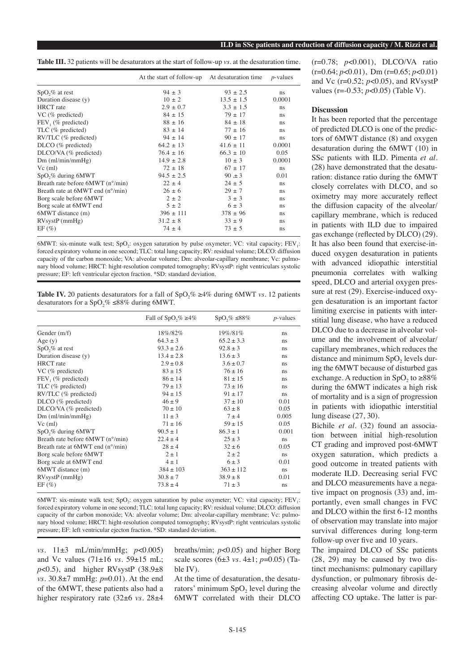**Table III.** 32 patients will be desaturators at the start of follow-up *vs.* at the desaturation time.

|                                             | At the start of follow-up | At desaturation time | $p$ -values |
|---------------------------------------------|---------------------------|----------------------|-------------|
| $SpO, \%$ at rest                           | $94 \pm 3$                | $93 \pm 2.5$         | ns          |
| Duration disease (y)                        | $10 \pm 2$                | $13.5 \pm 1.5$       | 0.0001      |
| <b>HRCT</b> rate                            | $2.9 \pm 0.7$             | $3.3 \pm 1.5$        | ns          |
| $VC$ (% predicted)                          | $84 \pm 15$               | $79 \pm 17$          | ns          |
| $FEV1$ (% predicted)                        | $88 \pm 16$               | $84 \pm 18$          | ns          |
| TLC (% predicted)                           | $83 \pm 14$               | $77 + 16$            | ns          |
| RV/TLC (% predicted)                        | $94 \pm 14$               | $90 \pm 17$          | ns          |
| DLCO (% predicted)                          | $64.2 \pm 13$             | $41.6 \pm 11$        | 0.0001      |
| DLCO/VA (% predicted)                       | $76.4 \pm 16$             | $66.3 \pm 10$        | 0.05        |
| $Dm$ (ml/min/mmHg)                          | $14.9 \pm 2.8$            | $10 \pm 3$           | 0.0001      |
| $Vc$ (ml)                                   | $72 \pm 18$               | $67 \pm 17$          | ns          |
| SpO <sub>2</sub> % during 6MWT              | $94.5 \pm 2.5$            | 90 $\pm$ 3           | 0.01        |
| Breath rate before 6MWT (n°/min)            | $22 \pm 4$                | $24 \pm 5$           | ns          |
| Breath rate at $6MWT$ end $(n^{\circ}/min)$ | $26 \pm 6$                | $29 \pm 7$           | ns          |
| Borg scale before 6MWT                      | $2 \pm 2$                 | $3 \pm 3$            | ns          |
| Borg scale at 6MWT end                      | $5 \pm 2$                 | $6 \pm 3$            | ns          |
| 6MWT distance (m)                           | $396 \pm 111$             | $378 \pm 96$         | ns          |
| $RVsystP$ (mmHg)                            | $31.2 \pm 8$              | $33 \pm 9$           | ns          |
| $EF(\%)$                                    | $74 \pm 4$                | $73 \pm 5$           | ns          |

6MWT: six-minute walk test; SpO<sub>2</sub>: oxygen saturation by pulse oxymeter; VC: vital capacity; FEV<sub>1</sub>: forced expiratory volume in one second; TLC: total lung capacity; RV: residual volume; DLCO: diffusion capacity of thr carbon monoxide; VA: alveolar volume; Dm: alveolar-capillary membrane; Vc: pulmonary blood volume; HRCT: hight-resolution computed tomography; RVsystP: right ventriculars systolic pressure; EF: left ventricular ejecton fraction. \*SD: standard deviation.

**Table IV.** 20 patients desaturators for a fall of  $SpO<sub>2</sub>% \ge 4%$  during 6MWT *vs.* 12 patients desaturators for a  $SpO, \% \leq 88\%$  during 6MWT.

|                                  | Fall of SpO <sub>2</sub> % $\geq 4\%$ | $SpO, \% \leq 88\%$ | $p$ -values   |
|----------------------------------|---------------------------------------|---------------------|---------------|
| Gender (m/f)                     | 18\%/82\%                             | 19%/81%             | ns            |
| Age(y)                           | $64.3 \pm 3$                          | $65.2 \pm 3.3$      | ns            |
| $SpO, \%$ at rest                | $93.3 \pm 2.6$                        | $92.8 \pm 3$        | ns            |
| Duration disease (y)             | $13.4 \pm 2.8$                        | $13.6 \pm 3$        | <sub>ns</sub> |
| <b>HRCT</b> rate                 | $2.9 \pm 0.8$                         | $3.6 \pm 0.7$       | ns            |
| $VC$ (% predicted)               | $83 \pm 15$                           | $76 \pm 16$         | ns            |
| $FEV1$ (% predicted)             | $86 \pm 14$                           | $81 \pm 15$         | ns            |
| TLC (% predicted)                | $79 \pm 13$                           | $73 \pm 16$         | ns            |
| RV/TLC (% predicted)             | $94 \pm 15$                           | $91 \pm 17$         | ns            |
| DLCO (% predicted)               | $46 \pm 9$                            | $37 \pm 10$         | 0.01          |
| $DLCO/VA$ (% predicted)          | $70 \pm 10$                           | $63 \pm 8$          | 0.05          |
| $Dm$ (ml/min/mmHg)               | $11 \pm 3$                            | $7 \pm 4$           | 0.005         |
| $Vc$ (ml)                        | $71 \pm 16$                           | $59 \pm 15$         | 0.05          |
| $SpO$ ,% during 6MWT             | $90.5 \pm 1$                          | $86.3 \pm 1$        | 0.001         |
| Breath rate before 6MWT (n°/min) | $22.4 \pm 4$                          | $25 \pm 3$          | ns            |
| Breath rate at 6MWT end (n°/min) | $28 \pm 4$                            | $32 \pm 6$          | 0.05          |
| Borg scale before 6MWT           | $2 \pm 1$                             | $2 \pm 2$           | <sub>ns</sub> |
| Borg scale at 6MWT end           | $4 \pm 1$                             | $6 \pm 3$           | 0.01          |
| 6MWT distance (m)                | $384 \pm 103$                         | $363 \pm 112$       | ns            |
| $RVsystP$ (mmHg)                 | $30.8 \pm 7$                          | $38.9 \pm 8$        | 0.01          |
| $EF(\%)$                         | $73.8 \pm 4$                          | $71 \pm 3$          | ns            |

6MWT: six-minute walk test; SpO<sub>2</sub>: oxygen saturation by pulse oxymeter; VC: vital capacity; FEV<sub>1</sub>: forced expiratory volume in one second; TLC: total lung capacity; RV: residual volume; DLCO: diffusion capacity of thr carbon monoxide; VA: alveolar volume; Dm: alveolar-capillary membrane; Vc: pulmonary blood volume; HRCT: hight-resolution computed tomography; RVsystP: right ventriculars systolic pressure; EF: left ventricular ejecton fraction. \*SD: standard deviation.

*vs.* 11±3 mL/min/mmHg; *p*<0.005) and Vc values (71±16 *vs.* 59±15 mL;  $p<0.5$ ), and higher RVsystP (38.9 $\pm$ 8 *vs.* 30.8±7 mmHg: *p*=0.01). At the end of the 6MWT, these patients also had a higher respiratory rate (32±6 *vs.* 28±4

breaths/min; *p*<0.05) and higher Borg scale scores (6±3 *vs.* 4±1; *p*=0.05) (Table IV).

At the time of desaturation, the desaturators' minimum  $SpO<sub>2</sub>$  level during the 6MWT correlated with their DLCO (r=0.78; *p*<0.001), DLCO/VA ratio (r=0.64; *p*<0.01), Dm (r=0.65; *p*<0.01) and Vc (r=0.52; *p*<0.05), and RVsystP values (r=-0.53; *p*<0.05) (Table V).

## **Discussion**

It has been reported that the percentage of predicted DLCO is one of the predictors of 6MWT distance (8) and oxygen desaturation during the 6MWT (10) in SSc patients with ILD. Pimenta *et al*. (28) have demonstrated that the desaturation: distance ratio during the 6MWT closely correlates with DLCO, and so oximetry may more accurately reflect the diffusion capacity of the alveolar/ capillary membrane, which is reduced in patients with ILD due to impaired gas exchange (reflected by DLCO) (29). It has also been found that exercise-induced oxygen desaturation in patients with advanced idiopathic interstitial pneumonia correlates with walking speed, DLCO and arterial oxygen pressure at rest (29). Exercise-induced oxygen desaturation is an important factor limiting exercise in patients with interstitial lung disease, who have a reduced DLCO due to a decrease in alveolar volume and the involvement of alveolar/ capillary membranes, which reduces the distance and minimum  $SpO<sub>2</sub>$  levels during the 6MWT because of disturbed gas exchange. A reduction in SpO, to  $\geq 88\%$ during the 6MWT indicates a high risk of mortality and is a sign of progression in patients with idiopathic interstitial lung disease (27, 30).

Bichile *et al*. (32) found an association between initial high-resolution CT grading and improved post-6MWT oxygen saturation, which predicts a good outcome in treated patients with moderate ILD. Decreasing serial FVC and DLCO measurements have a negative impact on prognosis (33) and, importantly, even small changes in FVC and DLCO within the first 6-12 months of observation may translate into major survival differences during long-term follow-up over five and 10 years.

The impaired DLCO of SSc patients (28, 29) may be caused by two distinct mechanisms: pulmonary capillary dysfunction, or pulmonary fibrosis decreasing alveolar volume and directly affecting CO uptake. The latter is par-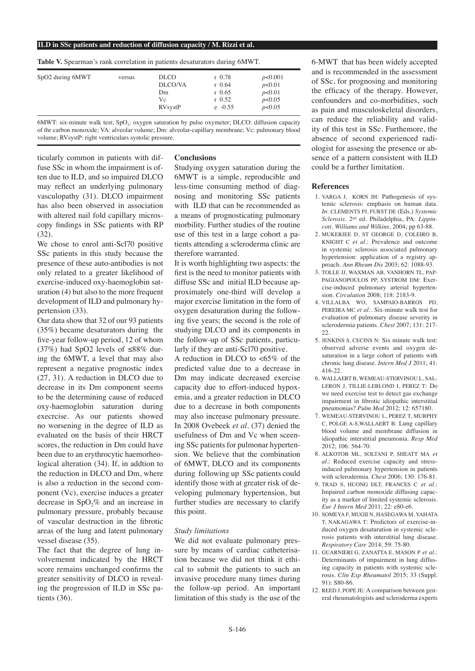#### **ILD in SSc patients and reduction of diffusion capacity / M. Rizzi et al.**

**Table V.** Spearman's rank correlation in patients desaturators during 6MWT.

| SpO2 during 6MWT | versus | <b>DLCO</b>    | $r$ 0.78  | p<0.001 |  |
|------------------|--------|----------------|-----------|---------|--|
|                  |        | DLCO/VA        | $r$ 0.64  | p<0.01  |  |
|                  |        | $_{\text{Dm}}$ | $r$ 0.65  | p<0.01  |  |
|                  |        | Vc             | $r$ 0.52  | p<0.05  |  |
|                  |        | <b>RVsystP</b> | $e -0.55$ | p<0.05  |  |

6MWT: six-minute walk test;  $SpO<sub>2</sub>$ : oxygen saturation by pulse oxymeter; DLCO: diffusion capacity of thr carbon monoxide; VA: alveolar volume; Dm: alveolar-capillary membrane; Vc: pulmonary blood volume; RVsystP: right ventriculars systolic pressure.

ticularly common in patients with diffuse SSc in whom the impairment is often due to ILD, and so impaired DLCO may reflect an underlying pulmonary vasculopathy (31). DLCO impairment has also been observed in association with altered nail fold capillary microscopy findings in SSc patients with RP (32).

We chose to enrol anti-Scl70 positive SSc patients in this study because the presence of these auto-antibodies is not only related to a greater likelihood of exercise-induced oxy-haemoglobin saturation (4) but also to the more frequent development of ILD and pulmonary hypertension (33).

Our data show that 32 of our 93 patients (35%) became desaturators during the five-year follow-up period, 12 of whom (37%) had SpO2 levels of ≤88% during the 6MWT, a level that may also represent a negative prognostic index (27, 31). A reduction in DLCO due to decrease in its Dm component seems to be the determining cause of reduced oxy-haemoglobin saturation during execrcise. As our patients showed no worsening in the degree of ILD as evaluated on the basis of their HRCT scores, the reduction in Dm could have been due to an erythrocytic haemorheological alteration  $(34)$ . If, in addtion to the reduction in DLCO and Dm, where is also a reduction in the second component (Vc), exercise induces a greater decrease in  $SpO<sub>2</sub>%$  and an increase in pulmonary pressure, probably because of vascular destruction in the fibrotic areas of the lung and latent pulmonary vessel disease (35).

The fact that the degree of lung involvemennt indicated by the HRCT score remains unchanged confirms the greater sensitivity of DLCO in revealing the progression of ILD in SSc patients (36).

## **Conclusions**

Studying oxygen saturation during the 6MWT is a simple, reproducible and less-time consuming method of diagnosing and monitoring SSc patients with ILD that can be recommended as a means of prognosticating pulmonary morbility. Further studies of the routine use of this test in a large cohort a patients attending a scleroderma clinic are therefore warranted.

It is worth highlighting two aspects: the first is the need to monitor patients with diffuse SSc and initial ILD because approximately one-third will develop a major exercise limitation in the form of oxygen desaturation during the following five years; the second is the role of studying DLCO and its components in the follow-up of SSc patients, particularly if they are anti-Scl70 positive.

A reduction in DLCO to <65% of the predicted value due to a decrease in Dm may indicate decreased exercise capacity due to effort-induced hypoxemia, and a greater reduction in DLCO due to a decrease in both components may also increase pulmonary pressure. In 2008 Ovebeek *et al.* (37) denied the usefulness of Dm and Vc when sceening SSc patients for pulmonar hypertension. We believe that the combination of 6MWT, DLCO and its components during following up SSc patients could identify those with at greater risk of developing pulmonary hypertension, but further studies are necessary to clarify this point.

## *Study limitations*

We did not evaluate pulmonary pressure by means of cardiac catheterisation because we did not think it ethical to submit the patients to such an invasive procedure many times during the follow-up period. An important limitation of this study is the use of the

6-MWT that has been widely accepted and is recommended in the assessment of SSc, for prognosing and monitoring the efficacy of the therapy. However, confounders and co-morbidities, such as pain and musculoskeletal disorders, can reduce the reliability and validity of this test in SSc. Furthemore, the absence of second experienced radiologist for assesing the presence or absence of a pattern consistent with ILD could be a further limitation.

## **References**

- 1. VARGA J, KORN JH: Pathogenesis of systemic sclerosis: emphasis on human data. *In*: CLEMENTS PJ, FURST DE (Eds.) *Systemic Sclerosis.* 2nd ed. Philadelphia, PA: *Lippincott, Williams and Wilkins,* 2004; pp 63-88.
- 2. MUKERJEE D, ST GEORGE D, COLEIRO B, KNIGHT C *et al.*: Prevalence and outcome in systemic sclerosis associated pulmonary hypertension: application of a registry approach. *Ann Rheum Dis* 2003; 62: 1088-93.
- 3. TOLLE JJ, WAXMAN AB, VANHORN TL, PAP-PAGIANOPOULOS PP, SYSTROM DM: Exercise-induced pulmonary arterial hypertension. *Circulation* 2008; 118: 2183-9.
- 4. VILLALBA WO, SAMPAIO-BARROS PD, PEREIRA MC *et al:.* Six-minute walk test for evaluation of pulmonary disease severity in sclerodermia patients. *Chest* 2007; 131: 217- 22.
- 5. JENKINS S, CECINS N: Six minute walk test: observed adverse events and oxygen desaturation in a large cohort of patients with chronic lung disease. *Intern Med J* 2011; 41: 416-22.
- 6. WALLAERT B, WEMEAU-STERVINOU L, SAL-LERON J, TILLIE-LEBLOND I, PEREZ T: Do we need exercise test to detect gas exchange impairment in fibrotic idiopathic interstitial pneumonias? *Pulm Med* 2012; 12: 657180.
- 7. WEMEAU-STERVINOU L, PEREZ T, MURPHY C, POLGE A-S,WALLAERT B: Lung capillary blood volume and membrane diffusion in idiopathic interstitial pneumonia. *Resp Med* 2012; 106: 564-70.
- 8. ALKOTOB ML, SOLTANI P, SHEATT MA *et al.*: Reduced exercise capacity and stressinduced pulmonary hypertension in patients with sclerodermia. *Chest* 2006; 130: 176-81.
- 9. TRAD S, HUONG DLT, FRANCES C *et al.*: Impaired carbon monoxide diffusing capacity as a marker of limited systemic sclerosis. *Eur J Intern Med* 2011; 22: e80-e6.
- 10. SOMEYA F, MUGII N, HASEGAWA M, YAHATA T, NAKAGAWA T: Predictors of exercise-induced oxygen desaturation in systemic sclerosis patients with interstitial lung disease. *Respiratory Care* 2014; 59: 75-80.
- 11. GUARNIERI G, ZANATTA E, MASON P *et al.*: Determinants of impairment in lung diffusing capacity in patients with systemic sclerosis. *Clin Exp Rheumatol* 2015; 33 (Suppl. 91): S80-86.
- 12. REED J, POPE JE: A comparison between general rheumatologists and scleroderma experts